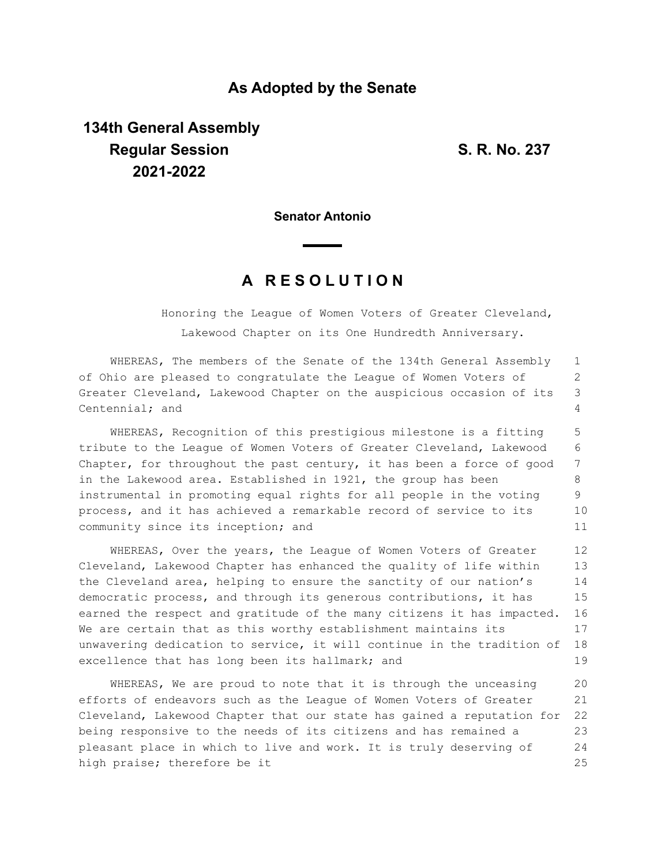## **As Adopted by the Senate**

## **134th General Assembly Regular Session S. R. No. 237 2021-2022**

**Senator Antonio**

## **A R E S O L U T I O N**

Honoring the League of Women Voters of Greater Cleveland, Lakewood Chapter on its One Hundredth Anniversary.

WHEREAS, The members of the Senate of the 134th General Assembly of Ohio are pleased to congratulate the League of Women Voters of Greater Cleveland, Lakewood Chapter on the auspicious occasion of its Centennial; and 1 2 3  $\Delta$ 

WHEREAS, Recognition of this prestigious milestone is a fitting tribute to the League of Women Voters of Greater Cleveland, Lakewood Chapter, for throughout the past century, it has been a force of good in the Lakewood area. Established in 1921, the group has been instrumental in promoting equal rights for all people in the voting process, and it has achieved a remarkable record of service to its community since its inception; and 5 6 7 8 9 10 11

WHEREAS, Over the years, the League of Women Voters of Greater Cleveland, Lakewood Chapter has enhanced the quality of life within the Cleveland area, helping to ensure the sanctity of our nation's democratic process, and through its generous contributions, it has earned the respect and gratitude of the many citizens it has impacted. We are certain that as this worthy establishment maintains its unwavering dedication to service, it will continue in the tradition of excellence that has long been its hallmark; and 12 13 14 15 16 17 18 19

WHEREAS, We are proud to note that it is through the unceasing efforts of endeavors such as the League of Women Voters of Greater Cleveland, Lakewood Chapter that our state has gained a reputation for being responsive to the needs of its citizens and has remained a pleasant place in which to live and work. It is truly deserving of high praise; therefore be it 20 21 22 23 24 25